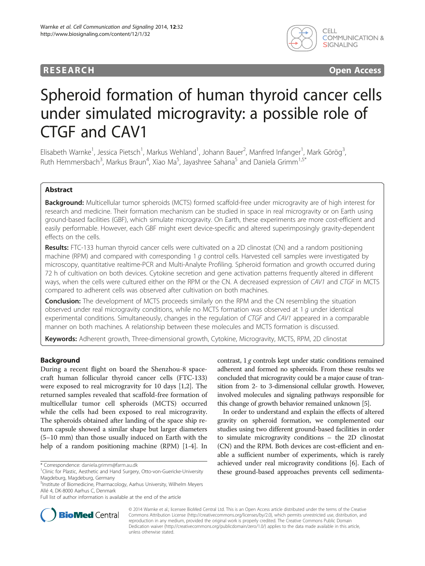## **RESEARCH CHINESEARCH CHINESEARCH CHINESE**



# Spheroid formation of human thyroid cancer cells under simulated microgravity: a possible role of CTGF and CAV1

Elisabeth Warnke<sup>1</sup>, Jessica Pietsch<sup>1</sup>, Markus Wehland<sup>1</sup>, Johann Bauer<sup>2</sup>, Manfred Infanger<sup>1</sup>, Mark Görög<sup>3</sup> , Ruth Hemmersbach<sup>3</sup>, Markus Braun<sup>4</sup>, Xiao Ma<sup>5</sup>, Jayashree Sahana<sup>5</sup> and Daniela Grimm<sup>1,5\*</sup>

## Abstract

Background: Multicellular tumor spheroids (MCTS) formed scaffold-free under microgravity are of high interest for research and medicine. Their formation mechanism can be studied in space in real microgravity or on Earth using ground-based facilities (GBF), which simulate microgravity. On Earth, these experiments are more cost-efficient and easily performable. However, each GBF might exert device-specific and altered superimposingly gravity-dependent effects on the cells.

Results: FTC-133 human thyroid cancer cells were cultivated on a 2D clinostat (CN) and a random positioning machine (RPM) and compared with corresponding 1 g control cells. Harvested cell samples were investigated by microscopy, quantitative realtime-PCR and Multi-Analyte Profiling. Spheroid formation and growth occurred during 72 h of cultivation on both devices. Cytokine secretion and gene activation patterns frequently altered in different ways, when the cells were cultured either on the RPM or the CN. A decreased expression of CAV1 and CTGF in MCTS compared to adherent cells was observed after cultivation on both machines.

**Conclusion:** The development of MCTS proceeds similarly on the RPM and the CN resembling the situation observed under real microgravity conditions, while no MCTS formation was observed at 1 g under identical experimental conditions. Simultaneously, changes in the regulation of CTGF and CAV1 appeared in a comparable manner on both machines. A relationship between these molecules and MCTS formation is discussed.

Keywords: Adherent growth, Three-dimensional growth, Cytokine, Microgravity, MCTS, RPM, 2D clinostat

## Background

During a recent flight on board the Shenzhou-8 spacecraft human follicular thyroid cancer cells (FTC-133) were exposed to real microgravity for 10 days [[1,2\]](#page-9-0). The returned samples revealed that scaffold-free formation of multicellular tumor cell spheroids (MCTS) occurred while the cells had been exposed to real microgravity. The spheroids obtained after landing of the space ship return capsule showed a similar shape but larger diameters (5–10 mm) than those usually induced on Earth with the help of a random positioning machine (RPM) [\[1-4](#page-9-0)]. In

contrast, 1 g controls kept under static conditions remained adherent and formed no spheroids. From these results we concluded that microgravity could be a major cause of transition from 2- to 3-dimensional cellular growth. However, involved molecules and signaling pathways responsible for this change of growth behavior remained unknown [\[5](#page-9-0)].

In order to understand and explain the effects of altered gravity on spheroid formation, we complemented our studies using two different ground-based facilities in order to simulate microgravity conditions – the 2D clinostat (CN) and the RPM. Both devices are cost-efficient and enable a sufficient number of experiments, which is rarely achieved under real microgravity conditions [\[6\]](#page-9-0). Each of these ground-based approaches prevents cell sedimenta-



© 2014 Warnke et al.; licensee BioMed Central Ltd. This is an Open Access article distributed under the terms of the Creative Commons Attribution License [\(http://creativecommons.org/licenses/by/2.0\)](http://creativecommons.org/licenses/by/2.0), which permits unrestricted use, distribution, and reproduction in any medium, provided the original work is properly credited. The Creative Commons Public Domain Dedication waiver [\(http://creativecommons.org/publicdomain/zero/1.0/](http://creativecommons.org/publicdomain/zero/1.0/)) applies to the data made available in this article, unless otherwise stated.

<sup>\*</sup> Correspondence: [daniela.grimm@farm.au.dk](mailto:daniela.grimm@farm.au.dk) <sup>1</sup>

<sup>&</sup>lt;sup>1</sup>Clinic for Plastic, Aesthetic and Hand Surgery, Otto-von-Guericke-University Magdeburg, Magdeburg, Germany

<sup>5</sup> Institute of Biomedicine, Pharmacology, Aarhus University, Wilhelm Meyers Allé 4, DK-8000 Aarhus C, Denmark

Full list of author information is available at the end of the article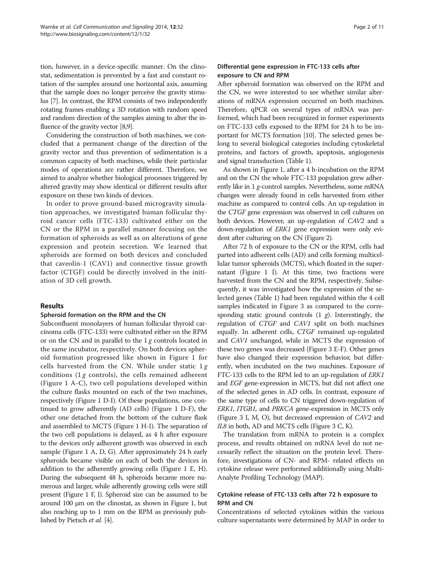tion, however, in a device-specific manner. On the clinostat, sedimentation is prevented by a fast and constant rotation of the samples around one horizontal axis, assuming that the sample does no longer perceive the gravity stimulus [[7\]](#page-9-0). In contrast, the RPM consists of two independently rotating frames enabling a 3D rotation with random speed and random direction of the samples aiming to alter the influence of the gravity vector [\[8,9](#page-9-0)].

Considering the construction of both machines, we concluded that a permanent change of the direction of the gravity vector and thus prevention of sedimentation is a common capacity of both machines, while their particular modes of operations are rather different. Therefore, we aimed to analyze whether biological processes triggered by altered gravity may show identical or different results after exposure on these two kinds of devices.

In order to prove ground-based microgravity simulation approaches, we investigated human follicular thyroid cancer cells (FTC-133) cultivated either on the CN or the RPM in a parallel manner focusing on the formation of spheroids as well as on alterations of gene expression and protein secretion. We learned that spheroids are formed on both devices and concluded that caveolin-1 (CAV1) and connective tissue growth factor (CTGF) could be directly involved in the initiation of 3D cell growth.

## Results

#### Spheroid formation on the RPM and the CN

Subconfluent monolayers of human follicular thyroid carcinoma cells (FTC-133) were cultivated either on the RPM or on the CN and in parallel to the  $1g$  controls located in the same incubator, respectively. On both devices spheroid formation progressed like shown in Figure [1](#page-2-0) for cells harvested from the CN. While under static  $1g$ conditions (1  $g$  controls), the cells remained adherent (Figure [1](#page-2-0) A-C), two cell populations developed within the culture flasks mounted on each of the two machines, respectively (Figure [1](#page-2-0) D-I). Of these populations, one continued to grow adherently (AD cells) (Figure [1](#page-2-0) D-F), the other one detached from the bottom of the culture flask and assembled to MCTS (Figure [1](#page-2-0) H-I). The separation of the two cell populations is delayed, as 4 h after exposure to the devices only adherent growth was observed in each sample (Figure [1](#page-2-0) A, D, G). After approximately 24 h early spheroids became visible on each of both the devices in addition to the adherently growing cells (Figure [1](#page-2-0) E, H). During the subsequent 48 h, spheroids became more numerous and larger, while adherently growing cells were still present (Figure [1](#page-2-0) F, I). Spheroid size can be assumed to be around [1](#page-2-0)00 μm on the clinostat, as shown in Figure 1, but also reaching up to 1 mm on the RPM as previously published by Pietsch et al. [\[4\]](#page-9-0).

## Differential gene expression in FTC-133 cells after exposure to CN and RPM

After spheroid formation was observed on the RPM and the CN, we were interested to see whether similar alterations of mRNA expression occurred on both machines. Therefore, qPCR on several types of mRNA was performed, which had been recognized in former experiments on FTC-133 cells exposed to the RPM for 24 h to be important for MCTS formation [\[10\]](#page-9-0). The selected genes belong to several biological categories including cytoskeletal proteins, and factors of growth, apoptosis, angiogenesis and signal transduction (Table [1\)](#page-3-0).

As shown in Figure [1](#page-2-0), after a 4 h-incubation on the RPM and on the CN the whole FTC-133 population grew adherently like in 1 g-control samples. Nevertheless, some mRNA changes were already found in cells harvested from either machine as compared to control cells. An up-regulation in the CTGF gene expression was observed in cell cultures on both devices. However, an up-regulation of CAV2 and a down-regulation of ERK1 gene expression were only evident after culturing on the CN (Figure [2\)](#page-4-0).

After 72 h of exposure to the CN or the RPM, cells had parted into adherent cells (AD) and cells forming multicellular tumor spheroids (MCTS), which floated in the supernatant (Figure [1](#page-2-0) I). At this time, two fractions were harvested from the CN and the RPM, respectively. Subsequently, it was investigated how the expression of the selected genes (Table [1\)](#page-3-0) had been regulated within the 4 cell samples indicated in Figure [3](#page-6-0) as compared to the corresponding static ground controls  $(1 \t g)$ . Interestingly, the regulation of CTGF and CAV1 split on both machines equally. In adherent cells, CTGF remained up-regulated and CAV1 unchanged, while in MCTS the expression of these two genes was decreased (Figure [3](#page-6-0) E-F). Other genes have also changed their expression behavior, but differently, when incubated on the two machines. Exposure of FTC-133 cells to the RPM led to an up-regulation of ERK1 and EGF gene-expression in MCTS, but did not affect one of the selected genes in AD cells. In contrast, exposure of the same type of cells to CN triggered down-regulation of ERK1, ITGB1, and PRKCA gene-expression in MCTS only (Figure [3](#page-6-0) I, M, O), but decreased expression of CAV2 and IL8 in both, AD and MCTS cells (Figure [3](#page-6-0) C, K).

The translation from mRNA to protein is a complex process, and results obtained on mRNA level do not necessarily reflect the situation on the protein level. Therefore, investigations of CN- and RPM- related effects on cytokine release were performed additionally using Multi-Analyte Profiling Technology (MAP).

## Cytokine release of FTC-133 cells after 72 h exposure to RPM and CN

Concentrations of selected cytokines within the various culture supernatants were determined by MAP in order to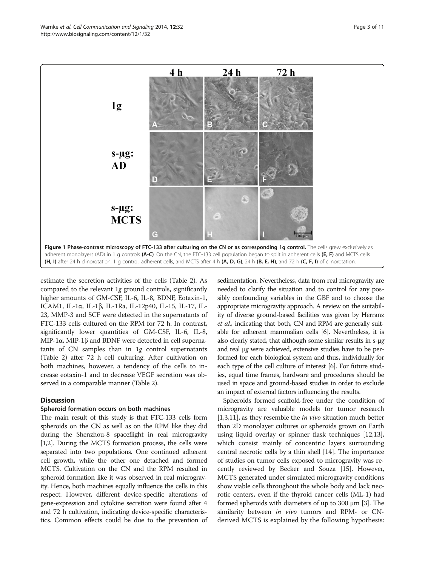<span id="page-2-0"></span>

estimate the secretion activities of the cells (Table [2\)](#page-6-0). As compared to the relevant 1g ground controls, significantly higher amounts of GM-CSF, IL-6, IL-8, BDNF, Eotaxin-1, ICAM1, IL-1α, IL-1β, IL-1Ra, IL-12p40, IL-15, IL-17, IL-23, MMP-3 and SCF were detected in the supernatants of FTC-133 cells cultured on the RPM for 72 h. In contrast, significantly lower quantities of GM-CSF, IL-6, IL-8, MIP-1α, MIP-1β and BDNF were detected in cell supernatants of CN samples than in 1g control supernatants (Table [2](#page-6-0)) after 72 h cell culturing. After cultivation on both machines, however, a tendency of the cells to increase eotaxin-1 and to decrease VEGF secretion was observed in a comparable manner (Table [2](#page-6-0)).

## **Discussion**

#### Spheroid formation occurs on both machines

The main result of this study is that FTC-133 cells form spheroids on the CN as well as on the RPM like they did during the Shenzhou-8 spaceflight in real microgravity [[1,2](#page-9-0)]. During the MCTS formation process, the cells were separated into two populations. One continued adherent cell growth, while the other one detached and formed MCTS. Cultivation on the CN and the RPM resulted in spheroid formation like it was observed in real microgravity. Hence, both machines equally influence the cells in this respect. However, different device-specific alterations of gene-expression and cytokine secretion were found after 4 and 72 h cultivation, indicating device-specific characteristics. Common effects could be due to the prevention of

sedimentation. Nevertheless, data from real microgravity are needed to clarify the situation and to control for any possibly confounding variables in the GBF and to choose the appropriate microgravity approach. A review on the suitability of diverse ground-based facilities was given by Herranz et al., indicating that both, CN and RPM are generally suitable for adherent mammalian cells [\[6\]](#page-9-0). Nevertheless, it is also clearly stated, that although some similar results in s-μg and real μg were achieved, extensive studies have to be performed for each biological system and thus, individually for each type of the cell culture of interest [\[6\]](#page-9-0). For future studies, equal time frames, hardware and procedures should be used in space and ground-based studies in order to exclude an impact of external factors influencing the results.

Spheroids formed scaffold-free under the condition of microgravity are valuable models for tumor research [[1,3](#page-9-0),[11](#page-9-0)], as they resemble the *in vivo* situation much better than 2D monolayer cultures or spheroids grown on Earth using liquid overlay or spinner flask techniques [\[12,13](#page-9-0)], which consist mainly of concentric layers surrounding central necrotic cells by a thin shell [[14](#page-10-0)]. The importance of studies on tumor cells exposed to microgravity was recently reviewed by Becker and Souza [\[15\]](#page-10-0). However, MCTS generated under simulated microgravity conditions show viable cells throughout the whole body and lack necrotic centers, even if the thyroid cancer cells (ML-1) had formed spheroids with diameters of up to 300 μm [[3\]](#page-9-0). The similarity between in vivo tumors and RPM- or CNderived MCTS is explained by the following hypothesis: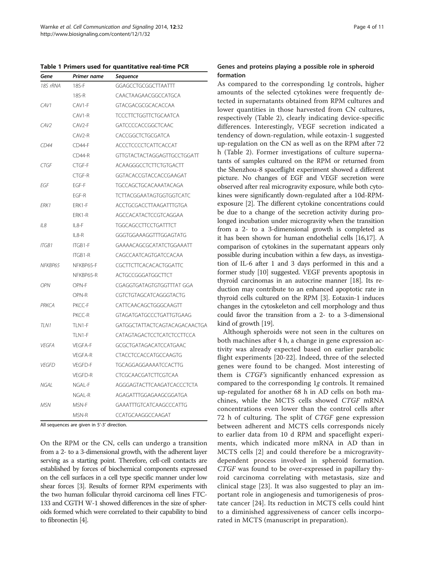<span id="page-3-0"></span>Table 1 Primers used for quantitative real-time PCR

| Gene         | Primer name        | Sequence                        |  |  |
|--------------|--------------------|---------------------------------|--|--|
| 18S rRNA     | 18S-F              | GGAGCCTGCGGCTTAATTT             |  |  |
|              | 18S-R              | CAACTAAGAACGGCCATGCA            |  |  |
| CAV1         | CAV1-F             | <b>GTACGACGCGCACACCAA</b>       |  |  |
|              | CAV1-R             | TCCCTTCTGGTTCTGCAATCA           |  |  |
| CAV2         | CAV <sub>2-F</sub> | GATCCCCACCGGCTCAAC              |  |  |
|              | CAV <sub>2-R</sub> | CACCGGCTCTGCGATCA               |  |  |
| CD44         | $CD44-F$           | ACCCTCCCCTCATTCACCAT            |  |  |
|              | $CD44-R$           | GITGTACTACTAGGAGITGCCTGGATT     |  |  |
| CTGF         | CTGF-F             | ACAAGGGCCTCTTCTGTGACTT          |  |  |
|              | CTGF-R             | GGTACACCGTACCACCGAAGAT          |  |  |
| EGF          | EGF-F              | TGCCAGCTGCACAAATACAGA           |  |  |
|              | FGF-R              | <b>TCTTACGGAATAGTGGTGGTCATC</b> |  |  |
| FRK1         | FRK1-F             | ACCTGCGACCTTAAGATTTGTGA         |  |  |
|              | FRK1-R             | AGCCACATACTCCGTCAGGAA           |  |  |
| IL8          | $II$ 8-F           | TGGCAGCCTTCCTGATTTCT            |  |  |
|              | 11 8-R             | GGGTGGAAAGGTTTGGAGTATG          |  |  |
| ITGB1        | ITGB1-F            | GAAAACAGCGCATATCTGGAAATT        |  |  |
|              | ITGB1-R            | CAGCCAATCAGTGATCCACAA           |  |  |
| NFKBP65      | NFKBP65-F          | CGCTTCTTCACACACTGGATTC          |  |  |
|              | NFKBP65-R          | ACTGCCGGGATGGCTTCT              |  |  |
| <b>OPN</b>   | OPN-F              | CGAGGTGATAGTGTGGTTTAT GGA       |  |  |
|              | OPN-R              | CGTCTGTAGCATCAGGGTACTG          |  |  |
| PRKCA        | PKCC-F             | CATTCAACAGCTGGGCAAGTT           |  |  |
|              | PKCC-R             | GTAGATGATGCCCTGATTGTGAAG        |  |  |
| TLN1         | TLN1-F             | GATGGCTATTACTCAGTACAGACAACTGA   |  |  |
|              | TLN1-F             | CATAGTAGACTCCTCATCTCCTTCCA      |  |  |
| <b>VEGFA</b> | <b>VEGFA-F</b>     | GCGCTGATAGACATCCATGAAC          |  |  |
|              | <b>VEGFA-R</b>     | CTACCTCCACCATGCCAAGTG           |  |  |
| VFGFD        | VFGFD-F            | <b>TGCAGGAGGAAAATCCACTTG</b>    |  |  |
|              | VEGFD-R            | <b>CTCGCAACGATCTTCGTCAA</b>     |  |  |
| NGAL         | NGAL-F             | AGGGAGTACTTCAAGATCACCCTCTA      |  |  |
|              | NGAL-R             | AGAGATTTGGAGAAGCGGATGA          |  |  |
| MSN          | MSN-F              | GAAATTTGTCATCAAGCCCATTG         |  |  |
|              | MSN-R              | CCATGCAAGGCCAAGAT               |  |  |

All sequences are given in 5'-3' direction.

On the RPM or the CN, cells can undergo a transition from a 2- to a 3-dimensional growth, with the adherent layer serving as a starting point. Therefore, cell-cell contacts are established by forces of biochemical components expressed on the cell surfaces in a cell type specific manner under low shear forces [\[3](#page-9-0)]. Results of former RPM experiments with the two human follicular thyroid carcinoma cell lines FTC-133 and CGTH W-1 showed differences in the size of spheroids formed which were correlated to their capability to bind to fibronectin [\[4\]](#page-9-0).

#### Genes and proteins playing a possible role in spheroid formation

As compared to the corresponding 1g controls, higher amounts of the selected cytokines were frequently detected in supernatants obtained from RPM cultures and lower quantities in those harvested from CN cultures, respectively (Table [2](#page-6-0)), clearly indicating device-specific differences. Interestingly, VEGF secretion indicated a tendency of down-regulation, while eotaxin-1 suggested up-regulation on the CN as well as on the RPM after 72 h (Table [2\)](#page-6-0). Former investigations of culture supernatants of samples cultured on the RPM or returned from the Shenzhou-8 spaceflight experiment showed a different picture. No changes of EGF and VEGF secretion were observed after real microgravity exposure, while both cytokines were significantly down-regulated after a 10d-RPMexposure [\[2](#page-9-0)]. The different cytokine concentrations could be due to a change of the secretion activity during prolonged incubation under microgravity when the transition from a 2- to a 3-dimensional growth is completed as it has been shown for human endothelial cells [[16,17\]](#page-10-0). A comparison of cytokines in the supernatant appears only possible during incubation within a few days, as investigation of IL-6 after 1 and 3 days performed in this and a former study [[10](#page-9-0)] suggested. VEGF prevents apoptosis in thyroid carcinomas in an autocrine manner [[18](#page-10-0)]. Its reduction may contribute to an enhanced apoptotic rate in thyroid cells cultured on the RPM [\[3\]](#page-9-0). Eotaxin-1 induces changes in the cytoskeleton and cell morphology and thus could favor the transition from a 2- to a 3-dimensional kind of growth [\[19](#page-10-0)].

Although spheroids were not seen in the cultures on both machines after 4 h, a change in gene expression activity was already expected based on earlier parabolic flight experiments [[20](#page-10-0)-[22\]](#page-10-0). Indeed, three of the selected genes were found to be changed. Most interesting of them is CTGF's significantly enhanced expression as compared to the corresponding 1g controls. It remained up-regulated for another 68 h in AD cells on both machines, while the MCTS cells showed CTGF mRNA concentrations even lower than the control cells after 72 h of culturing. The split of CTGF gene expression between adherent and MCTS cells corresponds nicely to earlier data from 10 d RPM and spaceflight experiments, which indicated more mRNA in AD than in MCTS cells [[2\]](#page-9-0) and could therefore be a microgravitydependent process involved in spheroid formation. CTGF was found to be over-expressed in papillary thyroid carcinoma correlating with metastasis, size and clinical stage [[23\]](#page-10-0). It was also suggested to play an important role in angiogenesis and tumorigenesis of prostate cancer [[24\]](#page-10-0). Its reduction in MCTS cells could hint to a diminished aggressiveness of cancer cells incorporated in MCTS (manuscript in preparation).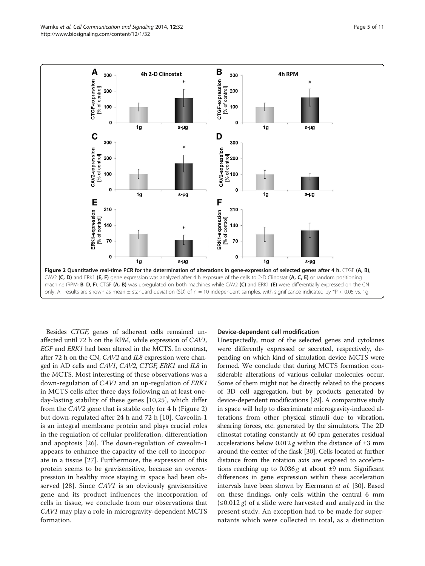<span id="page-4-0"></span>

Besides CTGF, genes of adherent cells remained unaffected until 72 h on the RPM, while expression of CAV1, EGF and ERK1 had been altered in the MCTS. In contrast, after 72 h on the CN, CAV2 and IL8 expression were changed in AD cells and CAV1, CAV2, CTGF, ERK1 and IL8 in the MCTS. Most interesting of these observations was a down-regulation of CAV1 and an up-regulation of ERK1 in MCTS cells after three days following an at least oneday-lasting stability of these genes [[10,](#page-9-0)[25\]](#page-10-0), which differ from the CAV2 gene that is stable only for 4 h (Figure 2) but down-regulated after 24 h and 72 h [\[10](#page-9-0)]. Caveolin-1 is an integral membrane protein and plays crucial roles in the regulation of cellular proliferation, differentiation and apoptosis [[26\]](#page-10-0). The down-regulation of caveolin-1 appears to enhance the capacity of the cell to incorporate in a tissue [[27](#page-10-0)]. Furthermore, the expression of this protein seems to be gravisensitive, because an overexpression in healthy mice staying in space had been observed [\[28](#page-10-0)]. Since CAV1 is an obviously gravisensitive gene and its product influences the incorporation of cells in tissue, we conclude from our observations that CAV1 may play a role in microgravity-dependent MCTS formation.

#### Device-dependent cell modification

Unexpectedly, most of the selected genes and cytokines were differently expressed or secreted, respectively, depending on which kind of simulation device MCTS were formed. We conclude that during MCTS formation considerable alterations of various cellular molecules occur. Some of them might not be directly related to the process of 3D cell aggregation, but by products generated by device-dependent modifications [\[29\]](#page-10-0). A comparative study in space will help to discriminate microgravity-induced alterations from other physical stimuli due to vibration, shearing forces, etc. generated by the simulators. The 2D clinostat rotating constantly at 60 rpm generates residual accelerations below  $0.012 g$  within the distance of  $\pm 3$  mm around the center of the flask [\[30\]](#page-10-0). Cells located at further distance from the rotation axis are exposed to accelerations reaching up to  $0.036 g$  at about  $\pm 9$  mm. Significant differences in gene expression within these acceleration intervals have been shown by Eiermann et al. [\[30\]](#page-10-0). Based on these findings, only cells within the central 6 mm  $(\leq 0.012 \varrho)$  of a slide were harvested and analyzed in the present study. An exception had to be made for supernatants which were collected in total, as a distinction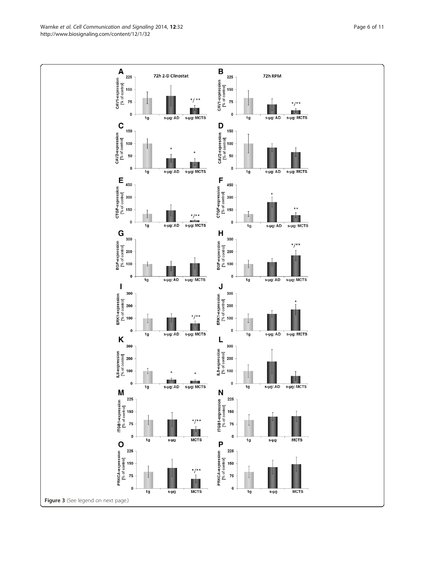Warnke et al. Cell Communication and Signaling 2014, 12:32 Page 6 of 11 http://www.biosignaling.com/content/12/1/32

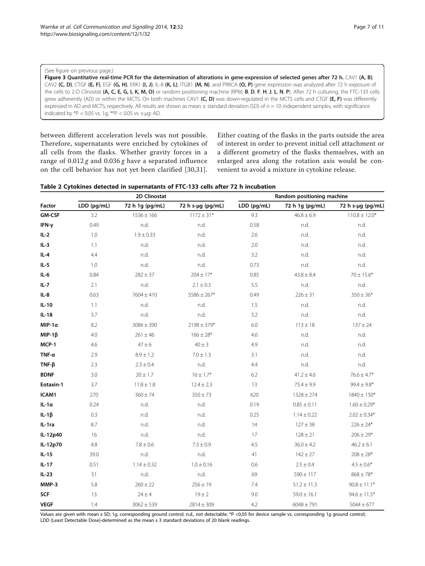#### <span id="page-6-0"></span>(See figure on previous page.)

Figure 3 Quantitative real-time PCR for the determination of alterations in gene-expression of selected genes after 72 h. CAV1 (A, B), CAV2 (C, D), CTGF (E, F), EGF (G, H), ERK1 (I, J), IL-8 (K, L), ITGB1 (M, N), and PRKCA (O, P) gene expression was analyzed after 72 h exposure of the cells to 2-D Clinostat (A, C, E, G, I, K, M, O) or random positioning machine (RPM; B, D, F, H, J, L, N, P). After 72 h culturing, the FTC-133 cells grew adherently (AD) or within the MCTS. On both machines CAV1 (C, D) was down-regulated in the MCTS cells and CTGF (E, F) was differently expressed in AD and MCTS, respectively. All results are shown as mean  $\pm$  standard deviation (SD) of  $n = 10$  independent samples, with significance indicated by  $*P < 0.05$  vs. 1g,  $*P < 0.05$  vs. s-µg: AD.

between different acceleration levels was not possible. Therefore, supernatants were enriched by cytokines of all cells from the flasks. Whether gravity forces in a range of  $0.012 g$  and  $0.036 g$  have a separated influence on the cell behavior has not yet been clarified [\[30,31](#page-10-0)].

Either coating of the flasks in the parts outside the area of interest in order to prevent initial cell attachment or a different geometry of the flasks themselves, with an enlarged area along the rotation axis would be convenient to avoid a mixture in cytokine release.

|               | 2D Clinostat |                 |                   | Random positioning machine |                 |                   |
|---------------|--------------|-----------------|-------------------|----------------------------|-----------------|-------------------|
| Factor        | LDD (pg/mL)  | 72 h 1g (pg/mL) | 72 h s-µg (pg/mL) | LDD (pg/mL)                | 72 h 1g (pg/mL) | 72 h s-µg (pg/mL) |
| <b>GM-CSF</b> | 3.2          | $1536 \pm 166$  | $1172 \pm 31*$    | 9.3                        | $46.8 \pm 6.9$  | $110.8 \pm 12.0*$ |
| IFN-y         | 0.49         | n.d.            | n.d.              | 0.58                       | n.d.            | n.d.              |
| $IL-2$        | 1.0          | $1.9 \pm 0.33$  | n.d.              | 2.6                        | n.d.            | n.d.              |
| $IL-3$        | 1.1          | n.d.            | n.d.              | 2.0                        | n.d.            | n.d.              |
| IL-4          | 4.4          | n.d.            | n.d.              | 3.2                        | n.d.            | n.d.              |
| $IL-5$        | 1.0          | n.d.            | n.d.              | 0.73                       | n.d.            | n.d.              |
| $IL-6$        | 0.84         | $282 \pm 37$    | $204 \pm 17*$     | 0.85                       | $43.8 \pm 8.4$  | $70 \pm 15.6*$    |
| $IL-7$        | 2.1          | n.d.            | $2.1 \pm 0.3$     | 5.5                        | n.d.            | n.d.              |
| IL-8          | 0.63         | $7604 \pm 410$  | $5586 \pm 267*$   | 0.49                       | $226 \pm 31$    | $350 \pm 36*$     |
| $IL-10$       | 1.1          | n.d.            | n.d.              | 1.5                        | n.d.            | n.d.              |
| $IL-18$       | 3.7          | n.d.            | n.d.              | 3.2                        | n.d.            | n.d.              |
| $MIP-1\alpha$ | 8.2          | $3086 \pm 390$  | $2198 \pm 379*$   | 6.0                        | $113 \pm 18$    | $137 \pm 24$      |
| $MIP-1\beta$  | 4.0          | $261 \pm 46$    | $166 \pm 28*$     | 4.6                        | n.d.            | n.d.              |
| MCP-1         | 4.6          | $47 \pm 6$      | $40 \pm 3$        | 4.9                        | n.d.            | n.d.              |
| $TNF-\alpha$  | 2.9          | $8.9 \pm 1.2$   | $7.0 \pm 1.3$     | 3.1                        | n.d.            | n.d.              |
| $TNF-\beta$   | 2.3          | $2.3 \pm 0.4$   | n.d.              | 4.4                        | n.d.            | n.d.              |
| <b>BDNF</b>   | 3.0          | $20 \pm 1.7$    | $16 \pm 1.7*$     | 6.2                        | $41.2 \pm 4.6$  | $76.6 \pm 4.7*$   |
| Eotaxin-1     | 3.7          | $11.8 \pm 1.8$  | $12.4 \pm 2.3$    | 13                         | $75.4 \pm 9.9$  | $99.4 \pm 9.8*$   |
| ICAM1         | 270          | $360 \pm 74$    | $350 \pm 73$      | 620                        | $1328 \pm 274$  | $1840 \pm 150*$   |
| $IL-1a$       | 0.24         | n.d.            | n.d.              | 0.19                       | $0.85 \pm 0.11$ | $1.60 \pm 0.29*$  |
| $IL-1\beta$   | 0.3          | n.d.            | n.d.              | 0.25                       | $1.14 \pm 0.22$ | $2.02 \pm 0.34*$  |
| IL-1ra        | 8.7          | n.d.            | n.d.              | 14                         | $127 \pm 38$    | $226 \pm 24*$     |
| IL-12p40      | 16           | n.d.            | n.d.              | 17                         | $128 \pm 21$    | $206 \pm 29*$     |
| IL-12p70      | 4.8          | $7.8 \pm 0.6$   | $7.3 \pm 0.9$     | 4.5                        | $36.0 \pm 4.2$  | $46.2 \pm 6.1$    |
| $IL-15$       | 39.0         | n.d.            | n.d.              | 41                         | $142 \pm 27$    | $208 \pm 28*$     |
| $IL-17$       | 0.51         | $1.14 \pm 0.32$ | $1.0 \pm 0.16$    | 0.6                        | $2.5 \pm 0.4$   | $4.5 \pm 0.6*$    |
| $IL-23$       | 51           | n.d.            | n.d.              | 69                         | $590 \pm 117$   | $868 \pm 78*$     |
| MMP-3         | 5.8          | $260 \pm 22$    | $256 \pm 19$      | 7.4                        | $51.2 \pm 11.3$ | $90.8 \pm 11.1*$  |
| <b>SCF</b>    | 13           | $24 \pm 4$      | $19 \pm 2$        | 9.0                        | $59.0 \pm 16.1$ | $94.6 \pm 11.5*$  |
| <b>VEGF</b>   | 1.4          | $3062 \pm 539$  | $2814 \pm 309$    | 4.2                        | $6048 \pm 791$  | $5044 \pm 677$    |

Values are given with mean ± SD; 1g, corresponding ground control; n.d., not detectable; \*P <0,05 for device sample vs. corresponding 1g ground control; LDD (Least Detectable Dose)-determined as the mean  $\pm$  3 standard deviations of 20 blank readings.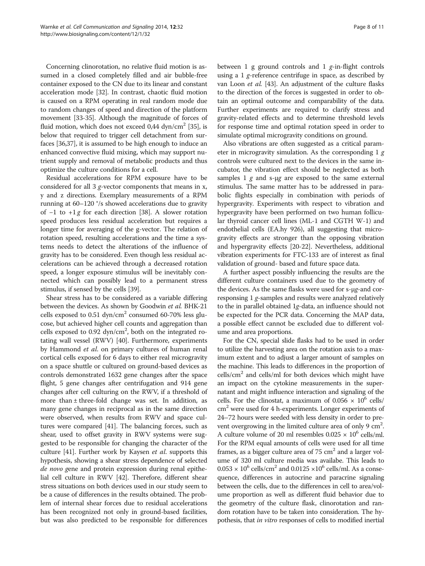Concerning clinorotation, no relative fluid motion is assumed in a closed completely filled and air bubble-free container exposed to the CN due to its linear and constant acceleration mode [[32](#page-10-0)]. In contrast, chaotic fluid motion is caused on a RPM operating in real random mode due to random changes of speed and direction of the platform movement [\[33-35](#page-10-0)]. Although the magnitude of forces of fluid motion, which does not exceed 0,44 dyn/cm<sup>2</sup> [\[35](#page-10-0)], is below that required to trigger cell detachment from surfaces [[36,37](#page-10-0)], it is assumed to be high enough to induce an enhanced convective fluid mixing, which may support nutrient supply and removal of metabolic products and thus optimize the culture conditions for a cell.

Residual accelerations for RPM exposure have to be considered for all 3 g-vector components that means in x, y and z directions. Exemplary measurements of a RPM running at 60–120 °/s showed accelerations due to gravity of  $-1$  to  $+1$ g for each direction [\[38\]](#page-10-0). A slower rotation speed produces less residual acceleration but requires a longer time for averaging of the g-vector. The relation of rotation speed, resulting accelerations and the time a systems needs to detect the alterations of the influence of gravity has to be considered. Even though less residual accelerations can be achieved through a decreased rotation speed, a longer exposure stimulus will be inevitably connected which can possibly lead to a permanent stress stimulus, if sensed by the cells [[39](#page-10-0)].

Shear stress has to be considered as a variable differing between the devices. As shown by Goodwin et al. BHK-21 cells exposed to  $0.51 \text{ dyn/cm}^2$  consumed 60-70% less glucose, but achieved higher cell counts and aggregation than cells exposed to 0.92 dyn/cm<sup>2</sup>, both on the integrated rotating wall vessel (RWV) [[40](#page-10-0)]. Furthermore, experiments by Hammond et al. on primary cultures of human renal cortical cells exposed for 6 days to either real microgravity on a space shuttle or cultured on ground-based devices as controls demonstrated 1632 gene changes after the space flight, 5 gene changes after centrifugation and 914 gene changes after cell culturing on the RWV, if a threshold of more than  $\pm$  three-fold change was set. In addition, as many gene changes in reciprocal as in the same direction were observed, when results from RWV and space cultures were compared [\[41\]](#page-10-0). The balancing forces, such as shear, used to offset gravity in RWV systems were suggested to be responsible for changing the character of the culture [[41](#page-10-0)]. Further work by Kaysen et al. supports this hypothesis, showing a shear stress dependence of selected de novo gene and protein expression during renal epithelial cell culture in RWV [[42](#page-10-0)]. Therefore, different shear stress situations on both devices used in our study seem to be a cause of differences in the results obtained. The problem of internal shear forces due to residual accelerations has been recognized not only in ground-based facilities, but was also predicted to be responsible for differences between 1 g ground controls and 1 g-in-flight controls using a 1 g-reference centrifuge in space, as described by van Loon et al. [\[43\]](#page-10-0). An adjustment of the culture flasks to the direction of the forces is suggested in order to obtain an optimal outcome and comparability of the data. Further experiments are required to clarify stress and gravity-related effects and to determine threshold levels for response time and optimal rotation speed in order to simulate optimal microgravity conditions on ground.

Also vibrations are often suggested as a critical parameter in microgravity simulation. As the corresponding  $1 g$ controls were cultured next to the devices in the same incubator, the vibration effect should be neglected as both samples 1  $g$  and s-μg are exposed to the same external stimulus. The same matter has to be addressed in parabolic flights especially in combination with periods of hypergravity. Experiments with respect to vibration and hypergravity have been performed on two human follicular thyroid cancer cell lines (ML-1 and CGTH W-1) and endothelial cells (EA.hy 926), all suggesting that microgravity effects are stronger than the opposing vibration and hypergravity effects [[20](#page-10-0)-[22](#page-10-0)]. Nevertheless, additional vibration experiments for FTC-133 are of interest as final validation of ground- based and future space data.

A further aspect possibly influencing the results are the different culture containers used due to the geometry of the devices. As the same flasks were used for s-μg-and corresponsing 1 g-samples and results were analyzed relatively to the in parallel obtained 1g-data, an influence should not be expected for the PCR data. Concerning the MAP data, a possible effect cannot be excluded due to different volume and area proportions.

For the CN, special slide flasks had to be used in order to utilize the harvesting area on the rotation axis to a maximum extent and to adjust a larger amount of samples on the machine. This leads to differences in the proportion of  $\text{cells/cm}^2$  and cells/ml for both devices which might have an impact on the cytokine measurements in the supernatant and might influence interaction and signaling of the cells. For the clinostat, a maximum of  $0.056 \times 10^6$  cells/ cm<sup>2</sup> were used for 4 h-experiments. Longer experiments of 24–72 hours were seeded with less density in order to prevent overgrowing in the limited culture area of only 9  $\text{cm}^2$ . A culture volume of 20 ml resembles  $0.025 \times 10^6$  cells/ml. For the RPM equal amounts of cells were used for all time frames, as a bigger culture area of  $75 \text{ cm}^2$  and a larger volume of 320 ml culture media was availabe. This leads to  $0.053 \times 10^6$  cells/cm<sup>2</sup> and  $0.0125 \times 10^6$  cells/ml. As a consequence, differences in autocrine and paracrine signaling between the cells, due to the differences in cell to area/volume proportion as well as different fluid behavior due to the geometry of the culture flask, clinorotation and random rotation have to be taken into consideration. The hypothesis, that in vitro responses of cells to modified inertial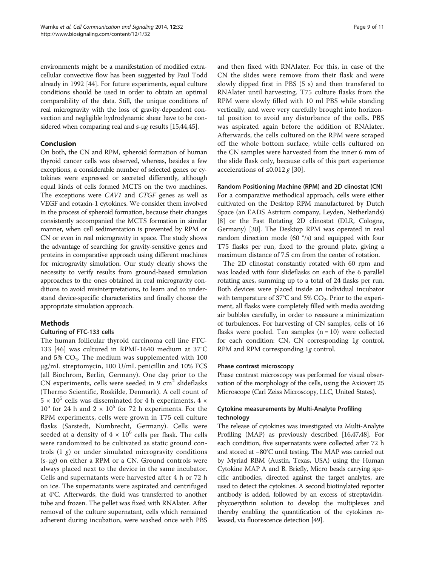environments might be a manifestation of modified extracellular convective flow has been suggested by Paul Todd already in 1992 [[44](#page-10-0)]. For future experiments, equal culture conditions should be used in order to obtain an optimal comparability of the data. Still, the unique conditions of real microgravity with the loss of gravity-dependent convection and negligible hydrodynamic shear have to be considered when comparing real and s-μg results [\[15,44,45\]](#page-10-0).

## Conclusion

On both, the CN and RPM, spheroid formation of human thyroid cancer cells was observed, whereas, besides a few exceptions, a considerable number of selected genes or cytokines were expressed or secreted differently, although equal kinds of cells formed MCTS on the two machines. The exceptions were CAV1 and CTGF genes as well as VEGF and eotaxin-1 cytokines. We consider them involved in the process of spheroid formation, because their changes consistently accompanied the MCTS formation in similar manner, when cell sedimentation is prevented by RPM or CN or even in real microgravity in space. The study shows the advantage of searching for gravity-sensitive genes and proteins in comparative approach using different machines for microgravity simulation. Our study clearly shows the necessity to verify results from ground-based simulation approaches to the ones obtained in real microgravity conditions to avoid misinterpretations, to learn and to understand device-specific characteristics and finally choose the appropriate simulation approach.

## **Methods**

## Culturing of FTC-133 cells

The human follicular thyroid carcinoma cell line FTC-133 [\[46](#page-10-0)] was cultured in RPMI-1640 medium at 37°C and  $5\%$  CO<sub>2</sub>. The medium was supplemented with  $100$ μg/mL streptomycin, 100 U/mL penicillin and 10% FCS (all Biochrom, Berlin, Germany). One day prior to the CN experiments, cells were seeded in 9  $\text{cm}^2$  slideflasks (Thermo Scientific, Roskilde, Denmark). A cell count of  $5 \times 10^5$  cells was disseminated for 4 h experiments, 4  $\times$  $10^5$  for 24 h and 2  $\times$  10<sup>5</sup> for 72 h experiments. For the RPM experiments, cells were grown in T75 cell culture flasks (Sarstedt, Numbrecht, Germany). Cells were seeded at a density of  $4 \times 10^6$  cells per flask. The cells were randomized to be cultivated as static ground controls  $(1 \t g)$  or under simulated microgravity conditions (s-μg) on either a RPM or a CN. Ground controls were always placed next to the device in the same incubator. Cells and supernatants were harvested after 4 h or 72 h on ice. The supernatants were aspirated and centrifuged at 4°C. Afterwards, the fluid was transferred to another tube and frozen. The pellet was fixed with RNAlater. After removal of the culture supernatant, cells which remained adherent during incubation, were washed once with PBS and then fixed with RNAlater. For this, in case of the CN the slides were remove from their flask and were slowly dipped first in PBS (5 s) and then transfered to RNAlater until harvesting. T75 culture flasks from the RPM were slowly filled with 10 ml PBS while standing vertically, and were very carefully brought into horizontal position to avoid any disturbance of the cells. PBS was aspirated again before the addition of RNAlater. Afterwards, the cells cultured on the RPM were scraped off the whole bottom surface, while cells cultured on the CN samples were harvested from the inner 6 mm of the slide flask only, because cells of this part experience accelerations of ≤0.012  $g$  [[30](#page-10-0)].

#### Random Positioning Machine (RPM) and 2D clinostat (CN)

For a comparative methodical approach, cells were either cultivated on the Desktop RPM manufactured by Dutch Space (an EADS Astrium company, Leyden, Netherlands) [[8\]](#page-9-0) or the Fast Rotating 2D clinostat (DLR, Cologne, Germany) [\[30\]](#page-10-0). The Desktop RPM was operated in real random direction mode (60 °/s) and equipped with four T75 flasks per run, fixed to the ground plate, giving a maximum distance of 7.5 cm from the center of rotation.

The 2D clinostat constantly rotated with 60 rpm and was loaded with four slideflasks on each of the 6 parallel rotating axes, summing up to a total of 24 flasks per run. Both devices were placed inside an individual incubator with temperature of 37 $^{\circ}$ C and 5% CO<sub>2</sub>. Prior to the experiment, all flasks were completely filled with media avoiding air bubbles carefully, in order to reassure a minimization of turbulences. For harvesting of CN samples, cells of 16 flasks were pooled. Ten samples  $(n = 10)$  were collected for each condition: CN, CN corresponding 1g control, RPM and RPM corresponding 1g control.

## Phase contrast microscopy

Phase contrast microscopy was performed for visual observation of the morphology of the cells, using the Axiovert 25 Microscope (Carl Zeiss Microscopy, LLC, United States).

## Cytokine measurements by Multi-Analyte Profiling technology

The release of cytokines was investigated via Multi-Analyte Profiling (MAP) as previously described [\[16,47,48](#page-10-0)]. For each condition, five supernatants were collected after 72 h and stored at −80°C until testing. The MAP was carried out by Myriad RBM (Austin, Texas, USA) using the Human Cytokine MAP A and B. Briefly, Micro beads carrying specific antibodies, directed against the target analytes, are used to detect the cytokines. A second biotinylated reporter antibody is added, followed by an excess of streptavidinphycoerythrin solution to develop the multiplexes and thereby enabling the quantification of the cytokines released, via fluorescence detection [\[49\]](#page-10-0).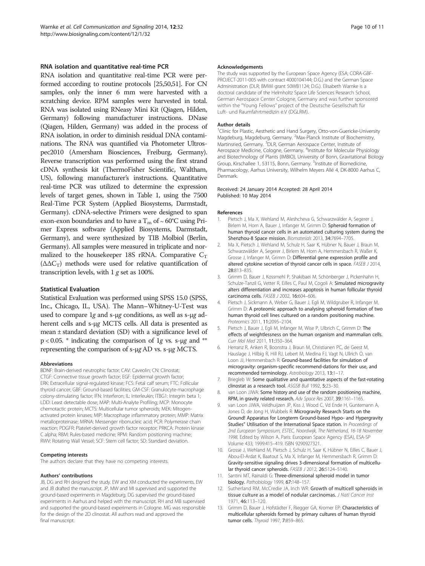#### <span id="page-9-0"></span>RNA isolation and quantitative real-time PCR

RNA isolation and quantitative real-time PCR were performed according to routine protocols [\[25,50,51\]](#page-10-0). For CN samples, only the inner 6 mm were harvested with a scratching device. RPM samples were harvested in total. RNA was isolated using RNeasy Mini Kit (Qiagen, Hilden, Germany) following manufacturer instructions. DNase (Qiagen, Hilden, Germany) was added in the process of RNA isolation, in order to diminish residual DNA contaminations. The RNA was quantified via Photometer Ultrospec2010 (Amersham Biosciences, Freiburg, Germany). Reverse transcription was performed using the first strand cDNA synthesis kit (ThermoFisher Scientific, Waltham, US), following manufacturer's instructions. Quantitative real-time PCR was utilized to determine the expression levels of target genes, shown in Table [1,](#page-3-0) using the 7500 Real-Time PCR System (Applied Biosystems, Darmstadt, Germany). cDNA-selective Primers were designed to span exon-exon boundaries and to have a T<sub>m</sub> of ~ 60°C using Primer Express software (Applied Biosystems, Darmstadt, Germany), and were synthesized by TIB Molbiol (Berlin, Germany). All samples were measured in triplicate and normalized to the housekeeper 18S rRNA. Comparative  $C_T$  $(\Delta \Delta C_T)$  methods were used for relative quantification of transcription levels, with  $1 g$  set as 100%.

#### Statistical Evaluation

Statistical Evaluation was performed using SPSS 15.0 (SPSS, Inc., Chicago, IL, USA). The Mann–Whitney-U-Test was used to compare 1g and s-μg conditions, as well as s-μg adherent cells and s-μg MCTS cells. All data is presented as mean ± standard deviation (SD) with a significance level of  $p < 0.05$ . \* indicating the comparison of 1g vs. s-μg and \*\* representing the comparison of s-μg AD vs. s-μg MCTS.

#### Abbreviations

BDNF: Brain-derived neutrophic factor; CAV: Caveolin; CN: Clinostat; CTGF: Connective tissue growth factor; EGF: Epidermal growth factor; ERK: Extracellular signal-regulated kinase; FCS: Fetal calf serum; FTC: Follicular thyroid cancer; GBF: Ground-based facilities; GM-CSF: Granulocyte-macrophage colony-stimulating factor; IFN: Interferon; IL: Interleukin; ITBG1: Integrin beta 1; LDD: Least detectable dose; MAP: Multi-Analyte Profiling; MCP: Monocyte chemotactic protein; MCTS: Multicellular tumor spheroids; MEK: Mitogenactivated protein kinases; MIP: Macrophage inflammatory protein; MMP: Matrix metalloproteinase; MRNA: Messenger ribonucleic acid; PCR: Polymerase chain reaction; PDGFR: Platelet-derived growth factor receptor; PRKCA: Protein kinase C alpha; RBM: Rules-based medicine; RPM: Random positioning machine; RWV: Rotating Wall Vessel; SCF: Stem cell factor; SD: Standard deviation.

#### Competing interests

The authors declare that they have no competing interests.

#### Authors' contributions

JB, DG and RH designed the study. EW and XM conducted the experiments. EW and JB drafted the manuscript. JP, MW and MI supervised and supported the ground-based experiments in Magdeburg. DG supervised the ground-based experiments in Aarhus and helped with the manuscript. RH and MB supervised and supported the ground-based experiments in Cologne. MG was responsible for the design of the 2D clinostat. All authors read and approved the final manuscript.

#### Acknowledgements

The study was supported by the European Space Agency (ESA; CORA-GBF-PROJECT-2011-005 with contract 4000104144; D.G.) and the German Space Administration (DLR; BMWi grant 50WB1124; D.G.). Elisabeth Warnke is a doctoral candidate of the Helmholtz Space Life Sciences Research School, German Aerospace Center Cologne, Germany and was further sponsored within the "Young Fellows" project of the Deutsche Gesellschaft für Luft- und Raumfahrtmedizin e.V (DGLRM).

#### Author details

<sup>1</sup>Clinic for Plastic, Aesthetic and Hand Surgery, Otto-von-Guericke-University Magdeburg, Magdeburg, Germany. <sup>2</sup>Max-Planck Institute of Biochemistry, Martinsried, Germany. <sup>3</sup>DLR, German Aerospace Center, Institute of Aerospace Medicine, Cologne, Germany. <sup>4</sup>Institute for Molecular Physiology and Biotechnology of Plants (IMBIO), University of Bonn, Gravitational Biology Group, Kirschallee 1, 53115, Bonn, Germany. <sup>5</sup>Institute of Biomedicine, Pharmacology, Aarhus University, Wilhelm Meyers Allé 4, DK-8000 Aarhus C, Denmark.

#### Received: 24 January 2014 Accepted: 28 April 2014 Published: 10 May 2014

#### References

- 1. Pietsch J, Ma X, Wehland M, Aleshcheva G, Schwarzwälder A, Segerer J, Birlem M, Horn A, Bauer J, Infanger M, Grimm D: Spheroid formation of human thyroid cancer cells in an automated culturing system during the Shenzhou-8 Space mission. Biomaterials 2013, 34:7694-7705.
- 2. Ma X, Pietsch J, Wehland M, Schulz H, Saar K, Hübner N, Bauer J, Braun M, Schwarzwälder A, Segerer J, Birlem M, Horn A, Hemmersbach R, Waßer K, Grosse J, Infanger M, Grimm D: Differential gene expression profile and altered cytokine secretion of thyroid cancer cells in space. FASEB J 2014, 28:813–835.
- 3. Grimm D, Bauer J, Kossmehl P, Shakibaei M, Schönberger J, Pickenhahn H, Schulze-Tanzil G, Vetter R, Eilles C, Paul M, Cogoli A: Simulated microgravity alters differentiation and increases apoptosis in human follicular thyroid carcinoma cells. FASEB J 2002, 16:604–606.
- 4. Pietsch J, Sickmann A, Weber G, Bauer J, Egli M, Wildgruber R, Infanger M, Grimm D: A proteomic approach to analysing spheroid formation of two human thyroid cell lines cultured on a random positioning machine. Proteomics 2011, 11:2095–2104.
- Pietsch J, Bauer J, Egli M, Infanger M, Wise P, Ulbrich C, Grimm D: The effects of weightlessness on the human organism and mammalian cells. Curr Mol Med 2011, 11:350–364.
- 6. Herranz R, Anken R, Boonstra J, Braun M, Christianen PC, de Geest M, Hauslage J, Hilbig R, Hill RJ, Lebert M, Medina FJ, Vagt N, Ullrich O, van Loon JJ, Hemmersbach R: Ground-based facilities for simulation of microgravity: organism-specific recommend-dations for their use, and recommended terminology. Astrobiology 2013, 13:1–17.
- 7. Briegleb W: Some qualitative and quantitative aspects of the fast-rotating clinostat as a research tool. ASGSB Bull 1992, 5:23–30.
- 8. van Loon JJWA: Some history and use of the random positioning machine, RPM, in gravity related research. Adv Space Res 2007, 39:1161-1165.
- 9. van Loon JJWA, Veldhuijzen JP, Kiss J, Wood C, Vd Ende H, Guntemann A, Jones D, de Jong H, Wubbels R: Microgravity Research Starts on the Ground! Apparatus for Longterm Ground-based Hypo- and Hypergravity Studies" Utilisation of the International Space station. In Proceedings of 2nd European Symposium, ESTEC, Noordwijk, The Netherland, 16-18 November 1998. Edited by Wilson A. Paris: European Space Agency (ESA), ESA-SP Volume 433; 1999:415–419. ISBN 9290927321.
- 10. Grosse J, Wehland M, Pietsch J, Schulz H, Saar K, Hübner N, Eilles C, Bauer J, Abou-El-Ardat K, Baatout S, Ma X, Infanger M, Hemmersbach R, Grimm D: Gravity-sensitive signaling drives 3-dimensional formation of multicellular thyroid cancer spheroids. FASEB J 2012, 26:5124–5140.
- 11. Santini MT, Rainaldi G: Three-dimensional spheroid model in tumor biology. Pathobiology 1999, 67:148-157.
- 12. Sutherland RM, McCredie JA, Inch WR: Growth of multicell spheroids in tissue culture as a model of nodular carcinomas. J Natl Cancer Inst 1971, 46:113–120.
- 13. Grimm D, Bauer J, Hofstädter F, Riegger GA, Kromer EP: Characteristics of multicellular spheroids formed by primary cultures of human thyroid tumor cells. Thyroid 1997, 7:859–865.